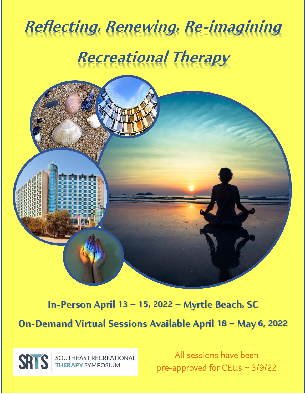# **Reflecting, Renewing, Re-imagining Recreational Therapy**



### **In-Person April 13 – 15, 2022 – Myrtle Beach, SC**

**On-Demand Virtual Sessions Available April 18 – May 6, 2022** 

SOUTHEAST RECREATIONAL<br>THERAPY SYMPOSIUM **SRIS** 

All sessions have been pre-approved for CEUs ~ 3/9/22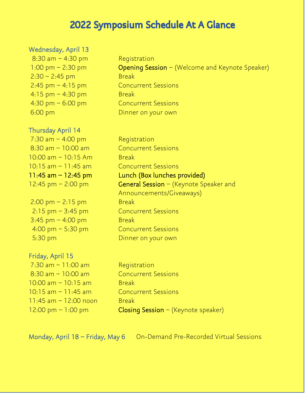### 2022 Symposium Schedule At A Glance

#### Wednesday, April 13

 $8:30$  am  $-4:30$  pm Reqistration  $2:30 - 2:45$  pm Break 2:45 pm – 4:15 pm Concurrent Sessions  $4:15$  pm  $-4:30$  pm Break 4:30 pm – 6:00 pm Concurrent Sessions 6:00 pm Dinner on your own

1:00 pm  $-$  2:30 pm  $\qquad \qquad$  Opening Session – (Welcome and Keynote Speaker)

#### Thursday April 14

 $7:30$  am  $-4:00$  pm Registration 8:30 am – 10:00 am Concurrent Sessions  $10:00$  am  $-10:15$  Am Break 10:15 am – 11:45 am Concurrent Sessions

 $2:00 \text{ pm} - 2:15 \text{ pm}$  Break 2:15 pm – 3:45 pm Concurrent Sessions  $3:45$  pm  $-4:00$  pm Break 4:00 pm – 5:30 pm Concurrent Sessions 5:30 pm Dinner on your own

#### Friday, April 15

 $7:30$  am  $-11:00$  am Reqistration 8:30 am – 10:00 am Concurrent Sessions  $10:00$  am  $-10:15$  am Break 10:15 am – 11:45 am Concurrent Sessions  $11:45$  am  $-12:00$  noon Break

11:45 am – 12:45 pm Lunch (Box lunches provided) 12:45 pm  $-$  2:00 pm  $\qquad \qquad$  General Session  $-$  (Keynote Speaker and Announcements/Giveaways)

 $12:00 \text{ pm} - 1:00 \text{ pm}$  Closing Session – (Keynote speaker)

Monday, April 18 – Friday, May 6 On-Demand Pre-Recorded Virtual Sessions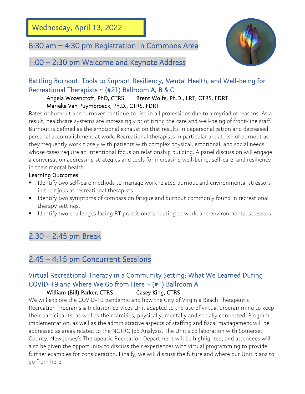Wednesday, April 13, 2022

l

### 8:30 am – 4:30 pm Registration in Commons Area



1:00 – 2:30 pm Welcome and Keynote Address

### Battling Burnout: Tools to Support Resiliency, Mental Health, and Well-being for Recreational Therapists  $\sim$  (#21) Ballroom A, B & C

#### Angela Wozencroft, PhD, CTRS Brent Wolfe, Ph.D., LRT, CTRS, FDRT Marieke Van Puymbroeck, Ph.D., CTRS, FDRT

Rates of burnout and turnover continue to rise in all professions due to a myriad of reasons. As a result, healthcare systems are increasingly prioritizing the care and well-being of front-line staff. Burnout is defined as the emotional exhaustion that results in depersonalization and decreased personal accomplishment at work. Recreational therapists in particular are at risk of burnout as they frequently work closely with patients with complex physical, emotional, and social needs whose cases require an intentional focus on relationship building. A panel discussion will engage a conversation addressing strategies and tools for increasing well-being, self-care, and resiliency in their mental health.

#### Learning Outcomes

- Identify two self-care methods to manage work related burnout and environmental stressors in their jobs as recreational therapists
- Identify two symptoms of compassion fatique and burnout commonly found in recreational therapy settings.
- Identify two challenges facing RT practitioners relating to work, and environmental stressors.

### 2:30 – 2:45 pm Break

### 2:45 – 4:15 pm Concurrent Sessions

### Virtual Recreational Therapy in a Community Setting: What We Learned During COVID-19 and Where We Go from Here  $\sim$  (#1) Ballroom A

#### William (Bill) Parker, CTRS Casey King, CTRS

We will explore the COVID-19 pandemic and how the City of Virginia Beach Therapeutic Recreation Programs & Inclusion Services Unit adapted to the use of virtual programming to keep their participants, as well as their families, physically, mentally and socially connected. Program implementation, as well as the administrative aspects of staffing and fiscal management will be addressed as areas related to the NCTRC Job Analysis. The Unit's collaboration with Somerset County, New Jersey's Therapeutic Recreation Department will be highlighted, and attendees will also be given the opportunity to discuss their experiences with virtual programming to provide further examples for consideration. Finally, we will discuss the future and where our Unit plans to go from here.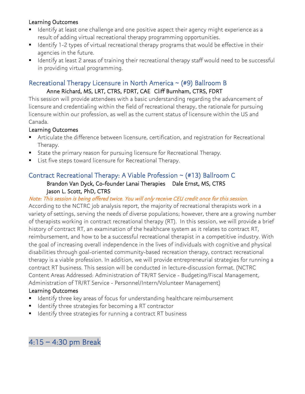#### Learning Outcomes

- Identify at least one challenge and one positive aspect their agency might experience as a result of adding virtual recreational therapy programming opportunities.
- Identify 1-2 types of virtual recreational therapy programs that would be effective in their agencies in the future.
- Identify at least 2 areas of training their recreational therapy staff would need to be successful in providing virtual programming.

#### Recreational Therapy Licensure in North America ~ (#9) Ballroom B Anne Richard, MS, LRT, CTRS, FDRT, CAE Cliff Burnham, CTRS, FDRT

This session will provide attendees with a basic understanding regarding the advancement of licensure and credentialing within the field of recreational therapy, the rationale for pursuing licensure within our profession, as well as the current status of licensure within the US and Canada.

#### Learning Outcomes

- Articulate the difference between licensure, certification, and registration for Recreational Therapy.
- State the primary reason for pursuing licensure for Recreational Therapy.
- List five steps toward licensure for Recreational Therapy.

#### Contract Recreational Therapy: A Viable Profession ~ (#13) Ballroom C Brandon Van Dyck, Co-founder Lanai Therapies Dale Ernst, MS, CTRS Jason L. Scott, PhD, CTRS

Note: This session is being offered twice. You will only receive CEU credit once for this session. According to the NCTRC job analysis report, the majority of recreational therapists work in a variety of settings, serving the needs of diverse populations; however, there are a growing number of therapists working in contract recreational therapy (RT). In this session, we will provide a brief history of contract RT, an examination of the healthcare system as it relates to contract RT, reimbursement, and how to be a successful recreational therapist in a competitive industry. With the goal of increasing overall independence in the lives of individuals with cognitive and physical disabilities through goal-oriented community-based recreation therapy, contract recreational therapy is a viable profession. In addition, we will provide entrepreneurial strategies for running a contract RT business. This session will be conducted in lecture-discussion format. (NCTRC Content Areas Addressed: Administration of TR/RT Service - Budgeting/Fiscal Management, Administration of TR/RT Service - Personnel/Intern/Volunteer Management)

#### Learning Outcomes

- Identify three key areas of focus for understanding healthcare reimbursement
- Identify three strategies for becoming a RT contractor
- Identify three strategies for running a contract RT business

### 4:15 – 4:30 pm Break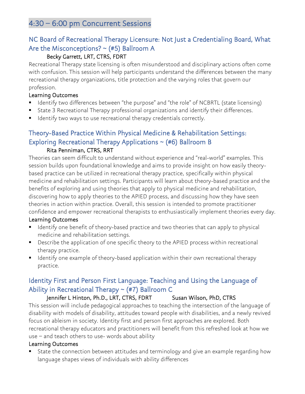### 4:30 – 6:00 pm Concurrent Sessions

### NC Board of Recreational Therapy Licensure: Not Just a Credentialing Board, What Are the Misconceptions?  $\sim$  (#5) Ballroom A

#### Becky Garrett, LRT, CTRS, FDRT

Recreational Therapy state licensing is often misunderstood and disciplinary actions often come with confusion. This session will help participants understand the differences between the many recreational therapy organizations, title protection and the varying roles that govern our profession.

#### Learning Outcomes

- Identify two differences between "the purpose" and "the role" of NCBRTL (state licensing)
- State 3 Recreational Therapy professional organizations and identify their differences.
- Identify two ways to use recreational therapy credentials correctly.

#### Theory-Based Practice Within Physical Medicine & Rehabilitation Settings: Exploring Recreational Therapy Applications  $\sim$  (#6) Ballroom B Rita Penniman, CTRS, RRT

Theories can seem difficult to understand without experience and "real-world" examples. This session builds upon foundational knowledge and aims to provide insight on how easily theorybased practice can be utilized in recreational therapy practice, specifically within physical medicine and rehabilitation settings. Participants will learn about theory-based practice and the benefits of exploring and using theories that apply to physical medicine and rehabilitation, discovering how to apply theories to the APIED process, and discussing how they have seen theories in action within practice. Overall, this session is intended to promote practitioner confidence and empower recreational therapists to enthusiastically implement theories every day.

#### Learning Outcomes

- Identify one benefit of theory-based practice and two theories that can apply to physical medicine and rehabilitation settings.
- Describe the application of one specific theory to the APIED process within recreational therapy practice.
- Identify one example of theory-based application within their own recreational therapy practice.

### Identity First and Person First Language: Teaching and Using the Language of Ability in Recreational Therapy  $\sim$  (#7) Ballroom C

#### Jennifer L Hinton, Ph.D., LRT, CTRS, FDRT Susan Wilson, PhD, CTRS

This session will include pedagogical approaches to teaching the intersection of the language of disability with models of disability, attitudes toward people with disabilities, and a newly revived focus on ableism in society. Identity first and person first approaches are explored. Both recreational therapy educators and practitioners will benefit from this refreshed look at how we use – and teach others to use- words about ability

#### Learning Outcomes

State the connection between attitudes and terminology and give an example regarding how language shapes views of individuals with ability differences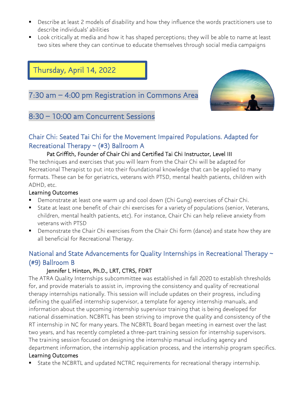- Describe at least 2 models of disability and how they influence the words practitioners use to describe individuals' abilities
- Look critically at media and how it has shaped perceptions; they will be able to name at least two sites where they can continue to educate themselves through social media campaigns

### Thursday, April 14, 2022

### 7:30 am – 4:00 pm Registration in Commons Area



### 8:30 – 10:00 am Concurrent Sessions

### Chair Chi: Seated Tai Chi for the Movement Impaired Populations. Adapted for Recreational Therapy ~ (#3) Ballroom A

#### Pat Griffith, Founder of Chair Chi and Certified Tai Chi Instructor, Level III

The techniques and exercises that you will learn from the Chair Chi will be adapted for Recreational Therapist to put into their foundational knowledge that can be applied to many formats. These can be for geriatrics, veterans with PTSD, mental health patients, children with ADHD, etc.

#### Learning Outcomes

- Demonstrate at least one warm up and cool down (Chi Gung) exercises of Chair Chi.
- State at least one benefit of chair chi exercises for a variety of populations (senior, Veterans, children, mental health patients, etc). For instance, Chair Chi can help relieve anxiety from veterans with PTSD
- Demonstrate the Chair Chi exercises from the Chair Chi form (dance) and state how they are all beneficial for Recreational Therapy.

### National and State Advancements for Quality Internships in Recreational Therapy ~ (#9) Ballroom B

#### Jennifer L Hinton, Ph.D., LRT, CTRS, FDRT

The ATRA Quality Internships subcommittee was established in fall 2020 to establish thresholds for, and provide materials to assist in, improving the consistency and quality of recreational therapy internships nationally. This session will include updates on their progress, including defining the qualified internship supervisor, a template for agency internship manuals, and information about the upcoming internship supervisor training that is being developed for national dissemination. NCBRTL has been striving to improve the quality and consistency of the RT internship in NC for many years. The NCBRTL Board began meeting in earnest over the last two years, and has recently completed a three-part training session for internship supervisors. The training session focused on designing the internship manual including agency and department information, the internship application process, and the internship program specifics.

#### Learning Outcomes

■ State the NCBRTL and updated NCTRC requirements for recreational therapy internship.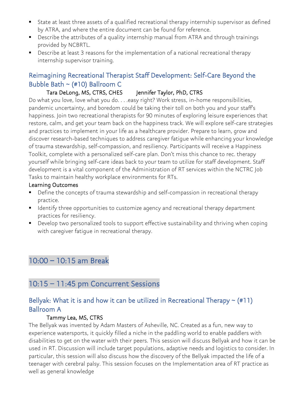- State at least three assets of a qualified recreational therapy internship supervisor as defined by ATRA, and where the entire document can be found for reference.
- Describe the attributes of a quality internship manual from ATRA and through trainings provided by NCBRTL.
- Describe at least 3 reasons for the implementation of a national recreational therapy internship supervisor training.

### Reimagining Recreational Therapist Staff Development: Self-Care Beyond the Bubble Bath ~ (#10) Ballroom C

#### Tara DeLong, MS, CTRS, CHES Jennifer Taylor, PhD, CTRS

Do what you love, love what you do. . . .easy right? Work stress, in-home responsibilities, pandemic uncertainty, and boredom could be taking their toll on both you and your staff's happiness. Join two recreational therapists for 90 minutes of exploring leisure experiences that restore, calm, and get your team back on the happiness track. We will explore self-care strategies and practices to implement in your life as a healthcare provider. Prepare to learn, grow and discover research-based techniques to address caregiver fatigue while enhancing your knowledge of trauma stewardship, self-compassion, and resiliency. Participants will receive a Happiness Toolkit, complete with a personalized self-care plan. Don't miss this chance to rec. therapy yourself while bringing self-care ideas back to your team to utilize for staff development. Staff development is a vital component of the Administration of RT services within the NCTRC Job Tasks to maintain healthy workplace environments for RTs.

#### Learning Outcomes

- Define the concepts of trauma stewardship and self-compassion in recreational therapy practice.
- Identify three opportunities to customize agency and recreational therapy department practices for resiliency.
- Develop two personalized tools to support effective sustainability and thriving when coping with caregiver fatigue in recreational therapy.

### 10:00 – 10:15 am Break

### 10:15 – 11:45 pm Concurrent Sessions

### Bellyak: What it is and how it can be utilized in Recreational Therapy  $\sim$  (#11) Ballroom A

#### Tammy Lea, MS, CTRS

The Bellyak was invented by Adam Masters of Asheville, NC. Created as a fun, new way to experience watersports, it quickly filled a niche in the paddling world to enable paddlers with disabilities to get on the water with their peers. This session will discuss Bellyak and how it can be used in RT. Discussion will include target populations, adaptive needs and logistics to consider. In particular, this session will also discuss how the discovery of the Bellyak impacted the life of a teenager with cerebral palsy. This session focuses on the Implementation area of RT practice as well as general knowledge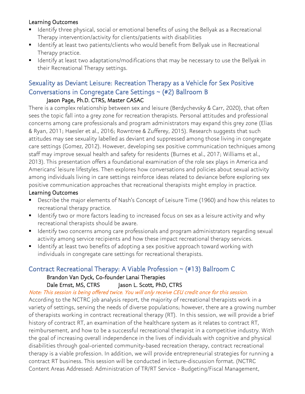#### Learning Outcomes

- Identify three physical, social or emotional benefits of using the Bellyak as a Recreational Therapy intervention/activity for clients/patients with disabilities
- Identify at least two patients/clients who would benefit from Bellyak use in Recreational Therapy practice.
- Identify at least two adaptations/modifications that may be necessary to use the Bellyak in their Recreational Therapy settings.

### Sexuality as Deviant Leisure: Recreation Therapy as a Vehicle for Sex Positive Conversations in Congregate Care Settings ~ (#2) Ballroom B

### Jason Page, Ph.D. CTRS, Master CASAC

There is a complex relationship between sex and leisure (Berdychevsky & Carr, 2020), that often sees the topic fall into a grey zone for recreation therapists. Personal attitudes and professional concerns among care professionals and program administrators may expand this grey zone (Elias & Ryan, 2011; Haesler et al., 2016; Rowntree & Zufferey, 2015). Research suggests that such attitudes may see sexuality labelled as deviant and suppressed among those living in congregate care settings (Gomez, 2012). However, developing sex positive communication techniques among staff may improve sexual health and safety for residents (Burnes et al., 2017; Williams et al., 2013). This presentation offers a foundational examination of the role sex plays in America and Americans' leisure lifestyles. Then explores how conversations and policies about sexual activity among individuals living in care settings reinforce ideas related to deviance before exploring sex positive communication approaches that recreational therapists might employ in practice.

#### Learning Outcomes

- Describe the major elements of Nash's Concept of Leisure Time (1960) and how this relates to recreational therapy practice.
- **EXT** Identify two or more factors leading to increased focus on sex as a leisure activity and why recreational therapists should be aware.
- **E** Identify two concerns among care professionals and program administrators regarding sexual activity among service recipients and how these impact recreational therapy services.
- Identify at least two benefits of adopting a sex positive approach toward working with individuals in congregate care settings for recreational therapists.

### Contract Recreational Therapy: A Viable Profession ~ (#13) Ballroom C

#### Brandon Van Dyck, Co-founder Lanai Therapies

#### Dale Ernst, MS, CTRS Jason L. Scott, PhD, CTRS

#### Note: This session is being offered twice. You will only receive CEU credit once for this session.

According to the NCTRC job analysis report, the majority of recreational therapists work in a variety of settings, serving the needs of diverse populations; however, there are a growing number of therapists working in contract recreational therapy (RT). In this session, we will provide a brief history of contract RT, an examination of the healthcare system as it relates to contract RT, reimbursement, and how to be a successful recreational therapist in a competitive industry. With the goal of increasing overall independence in the lives of individuals with cognitive and physical disabilities through goal-oriented community-based recreation therapy, contract recreational therapy is a viable profession. In addition, we will provide entrepreneurial strategies for running a contract RT business. This session will be conducted in lecture-discussion format. (NCTRC Content Areas Addressed: Administration of TR/RT Service - Budgeting/Fiscal Management,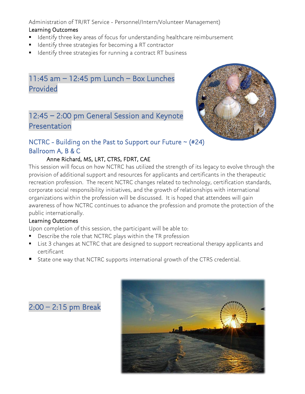Administration of TR/RT Service - Personnel/Intern/Volunteer Management)

#### Learning Outcomes

- Identify three key areas of focus for understanding healthcare reimbursement
- Identify three strategies for becoming a RT contractor
- Identify three strategies for running a contract RT business

### 11:45 am – 12:45 pm Lunch – Box Lunches Provided

### 12:45 – 2:00 pm General Session and Keynote Presentation



### NCTRC - Building on the Past to Support our Future  $\sim$  (#24) Ballroom A, B & C

#### Anne Richard, MS, LRT, CTRS, FDRT, CAE

This session will focus on how NCTRC has utilized the strength of its legacy to evolve through the provision of additional support and resources for applicants and certificants in the therapeutic recreation profession. The recent NCTRC changes related to technology, certification standards, corporate social responsibility initiatives, and the growth of relationships with international organizations within the profession will be discussed. It is hoped that attendees will gain awareness of how NCTRC continues to advance the profession and promote the protection of the public internationally.

#### Learning Outcomes

Upon completion of this session, the participant will be able to:

- Describe the role that NCTRC plays within the TR profession
- List 3 changes at NCTRC that are designed to support recreational therapy applicants and certificant
- State one way that NCTRC supports international growth of the CTRS credential.



### 2:00 – 2:15 pm Break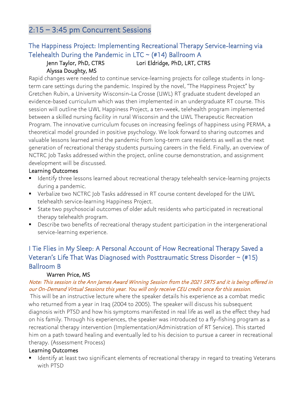### 2:15 – 3:45 pm Concurrent Sessions

### The Happiness Project: Implementing Recreational Therapy Service-learning via Telehealth During the Pandemic in LTC  $\sim$  (#14) Ballroom A

#### Jenn Taylor, PhD, CTRS Lori Eldridge, PhD, LRT, CTRS Alyssa Doughty, MS

Rapid changes were needed to continue service-learning projects for college students in longterm care settings during the pandemic. Inspired by the novel, "The Happiness Project" by Gretchen Rubin, a University Wisconsin-La Crosse (UWL) RT graduate student developed an evidence-based curriculum which was then implemented in an undergraduate RT course. This session will outline the UWL Happiness Project, a ten-week, telehealth program implemented between a skilled nursing facility in rural Wisconsin and the UWL Therapeutic Recreation Program. The innovative curriculum focuses on increasing feelings of happiness using PERMA, a theoretical model grounded in positive psychology. We look forward to sharing outcomes and valuable lessons learned amid the pandemic from long-term care residents as well as the next generation of recreational therapy students pursuing careers in the field. Finally, an overview of NCTRC Job Tasks addressed within the project, online course demonstration, and assignment development will be discussed.

#### Learning Outcomes

- Identify three lessons learned about recreational therapy telehealth service-learning projects during a pandemic.
- Verbalize two NCTRC Job Tasks addressed in RT course content developed for the UWL telehealth service-learning Happiness Project.
- State two psychosocial outcomes of older adult residents who participated in recreational therapy telehealth program.
- Describe two benefits of recreational therapy student participation in the intergenerational service-learning experience.

### I Tie Flies in My Sleep: A Personal Account of How Recreational Therapy Saved a Veteran's Life That Was Diagnosed with Posttraumatic Stress Disorder ~ (#15) Ballroom B

#### Warren Price, MS

#### Note: This session is the Ann James Award Winning Session from the 2021 SRTS and it is being offered in our On-Demand Virtual Sessions this year. You will only receive CEU credit once for this session.

 This will be an instructive lecture where the speaker details his experience as a combat medic who returned from a year in Iraq (2004 to 2005). The speaker will discuss his subsequent diagnosis with PTSD and how his symptoms manifested in real life as well as the effect they had on his family. Through his experiences, the speaker was introduced to a fly-fishing program as a recreational therapy intervention (Implementation/Administration of RT Service). This started him on a path toward healing and eventually led to his decision to pursue a career in recreational therapy. (Assessment Process)

#### Learning Outcomes

■ Identify at least two significant elements of recreational therapy in regard to treating Veterans with PTSD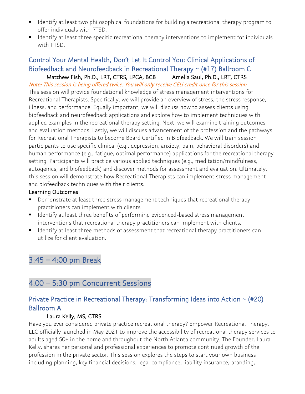- Identify at least two philosophical foundations for building a recreational therapy program to offer individuals with PTSD.
- Identify at least three specific recreational therapy interventions to implement for individuals with PTSD.

#### Control Your Mental Health, Don't Let It Control You: Clinical Applications of Biofeedback and Neurofeedback in Recreational Therapy ~ (#17) Ballroom C Matthew Fish, Ph.D., LRT, CTRS, LPCA, BCB Amelia Saul, Ph.D., LRT, CTRS

Note: This session is being offered twice. You will only receive CEU credit once for this session. This session will provide foundational knowledge of stress management interventions for Recreational Therapists. Specifically, we will provide an overview of stress, the stress response, illness, and performance. Equally important, we will discuss how to assess clients using biofeedback and neurofeedback applications and explore how to implement techniques with applied examples in the recreational therapy setting. Next, we will examine training outcomes and evaluation methods. Lastly, we will discuss advancement of the profession and the pathways for Recreational Therapists to become Board Certified in Biofeedback. We will train session participants to use specific clinical (e.g., depression, anxiety, pain, behavioral disorders) and human performance (e.g., fatigue, optimal performance) applications for the recreational therapy setting. Participants will practice various applied techniques (e.g., meditation/mindfulness, autogenics, and biofeedback) and discover methods for assessment and evaluation. Ultimately, this session will demonstrate how Recreational Therapists can implement stress management and biofeedback techniques with their clients.

#### Learning Outcomes

- Demonstrate at least three stress management techniques that recreational therapy practitioners can implement with clients
- Identify at least three benefits of performing evidenced-based stress management interventions that recreational therapy practitioners can implement with clients.
- Identify at least three methods of assessment that recreational therapy practitioners can utilize for client evaluation.

### 3:45 – 4:00 pm Break

### 4:00 – 5:30 pm Concurrent Sessions

#### Private Practice in Recreational Therapy: Transforming Ideas into Action ~ (#20) Ballroom A

#### Laura Kelly, MS, CTRS

Have you ever considered private practice recreational therapy? Empower Recreational Therapy, LLC officially launched in May 2021 to improve the accessibility of recreational therapy services to adults aged 50+ in the home and throughout the North Atlanta community. The Founder, Laura Kelly, shares her personal and professional experiences to promote continued growth of the profession in the private sector. This session explores the steps to start your own business including planning, key financial decisions, legal compliance, liability insurance, branding,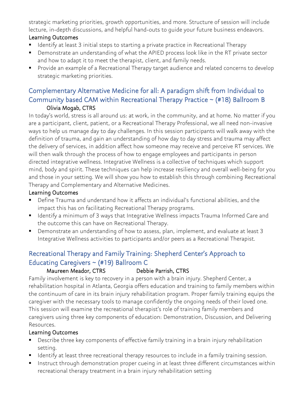strategic marketing priorities, growth opportunities, and more. Structure of session will include lecture, in-depth discussions, and helpful hand-outs to guide your future business endeavors.

#### Learning Outcomes

- Identify at least 3 initial steps to starting a private practice in Recreational Therapy
- Demonstrate an understanding of what the APIED process look like in the RT private sector and how to adapt it to meet the therapist, client, and family needs.
- Provide an example of a Recreational Therapy target audience and related concerns to develop strategic marketing priorities.

### Complementary Alternative Medicine for all: A paradigm shift from Individual to Community based CAM within Recreational Therapy Practice ~ (#18) Ballroom B Olivia Mogab, CTRS

In today's world, stress is all around us: at work, in the community, and at home. No matter if you are a participant, client, patient, or a Recreational Therapy Professional, we all need non-invasive ways to help us manage day to day challenges. In this session participants will walk away with the definition of trauma, and gain an understanding of how day to day stress and trauma may affect the delivery of services, in addition affect how someone may receive and perceive RT services. We will then walk through the process of how to engage employees and participants in person directed integrative wellness. Integrative Wellness is a collective of techniques which support mind, body and spirit. These techniques can help increase resiliency and overall well-being for you and those in your setting. We will show you how to establish this through combining Recreational Therapy and Complementary and Alternative Medicines.

#### Learning Outcomes

- Define Trauma and understand how it affects an individual's functional abilities, and the impact this has on facilitating Recreational Therapy programs.
- Identify a minimum of 3 ways that Integrative Wellness impacts Trauma Informed Care and the outcome this can have on Recreational Therapy.
- Demonstrate an understanding of how to assess, plan, implement, and evaluate at least 3 Integrative Wellness activities to participants and/or peers as a Recreational Therapist.

### Recreational Therapy and Family Training: Shepherd Center's Approach to Educating Caregivers ~ (#19) Ballroom C

#### Maureen Meador, CTRS Debbie Parrish, CTRS

Family involvement is key to recovery in a person with a brain injury. Shepherd Center, a rehabilitation hospital in Atlanta, Georgia offers education and training to family members within the continuum of care in its brain injury rehabilitation program. Proper family training equips the caregiver with the necessary tools to manage confidently the ongoing needs of their loved one. This session will examine the recreational therapist's role of training family members and caregivers using three key components of education: Demonstration, Discussion, and Delivering Resources.

- Describe three key components of effective family training in a brain injury rehabilitation setting.
- Identify at least three recreational therapy resources to include in a family training session.
- Instruct through demonstration proper cueing in at least three different circumstances within recreational therapy treatment in a brain injury rehabilitation setting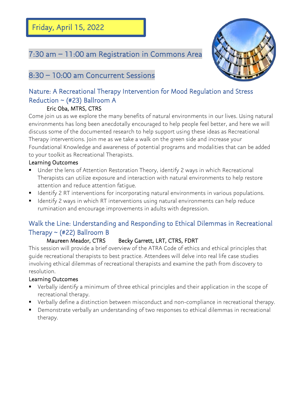Friday, April 15, 2022

Ī

### 7:30 am – 11:00 am Registration in Commons Area



### 8:30 – 10:00 am Concurrent Sessions

### Nature: A Recreational Therapy Intervention for Mood Regulation and Stress Reduction  $\sim$  (#23) Ballroom A

#### Eric Oba, MTRS, CTRS

Come join us as we explore the many benefits of natural environments in our lives. Using natural environments has long been anecdotally encouraged to help people feel better, and here we will discuss some of the documented research to help support using these ideas as Recreational Therapy interventions. Join me as we take a walk on the green side and increase your Foundational Knowledge and awareness of potential programs and modalities that can be added to your toolkit as Recreational Therapists.

#### Learning Outcomes

- Under the lens of Attention Restoration Theory, identify 2 ways in which Recreational Therapists can utilize exposure and interaction with natural environments to help restore attention and reduce attention fatigue.
- Identify 2 RT interventions for incorporating natural environments in various populations.
- **■** Identify 2 ways in which RT interventions using natural environments can help reduce rumination and encourage improvements in adults with depression.

### Walk the Line: Understanding and Responding to Ethical Dilemmas in Recreational Therapy  $\sim$  (#22) Ballroom B

#### Maureen Meador, CTRS Becky Garrett, LRT, CTRS, FDRT

This session will provide a brief overview of the ATRA Code of ethics and ethical principles that guide recreational therapists to best practice. Attendees will delve into real life case studies involving ethical dilemmas of recreational therapists and examine the path from discovery to resolution.

- Verbally identify a minimum of three ethical principles and their application in the scope of recreational therapy.
- Verbally define a distinction between misconduct and non-compliance in recreational therapy.
- Demonstrate verbally an understanding of two responses to ethical dilemmas in recreational therapy.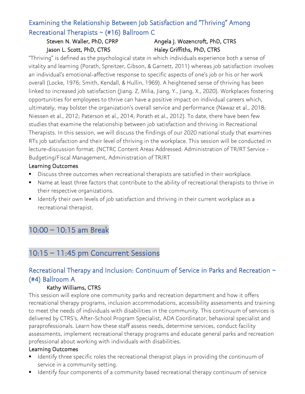### Examining the Relationship Between Job Satisfaction and "Thriving" Among Recreational Therapists ~ (#16) Ballroom C

### Steven N. Waller, PhD, CPRP Angela J. Wozencroft, PhD, CTRS Jason L. Scott, PhD, CTRS Haley Griffiths, PhD, CTRS

"Thriving" is defined as the psychological state in which individuals experience both a sense of vitality and learning (Porath, Spreitzer, Gibson, & Garnett, 2011) whereas job satisfaction involves an individual's emotional-affective response to specific aspects of one's job or his or her work overall (Locke, 1976; Smith, Kendall, & Hullin, 1969). A heightened sense of thriving has been linked to increased job satisfaction (Jiang. Z, Milia, Jiang, Y., Jiang, X., 2020). Workplaces fostering opportunities for employees to thrive can have a positive impact on individual careers which, ultimately, may bolster the organization's overall service and performance (Nawaz et al., 2018; Niessen et al., 2012; Paterson et al., 2014; Porath et al., 2012). To date, there have been few studies that examine the relationship between job satisfaction and thriving in Recreational Therapists. In this session, we will discuss the findings of our 2020 national study that examines RTs job satisfaction and their level of thriving in the workplace. This session will be conducted in lecture-discussion format. (NCTRC Content Areas Addressed: Administration of TR/RT Service - Budgeting/Fiscal Management, Administration of TR/RT

#### Learning Outcomes

- Discuss three outcomes when recreational therapists are satisfied in their workplace.
- Name at least three factors that contribute to the ability of recreational therapists to thrive in their respective organizations.
- Identify their own levels of job satisfaction and thriving in their current workplace as a recreational therapist.

### 10:00 – 10:15 am Break

### 10:15 – 11:45 pm Concurrent Sessions

### Recreational Therapy and Inclusion: Continuum of Service in Parks and Recreation ~ (#4) Ballroom A

#### Kathy Williams, CTRS

This session will explore one community parks and recreation department and how it offers recreational therapy programs, inclusion accommodations, accessibility assessments and training to meet the needs of individuals with disabilities in the community. This continuum of services is delivered by CTRS's, After-School Program Specialist, ADA Coordinator, behavioral specialist and paraprofessionals. Learn how these staff assess needs, determine services, conduct facility assessments, implement recreational therapy programs and educate general parks and recreation professional about working with individuals with disabilities.

- Identify three specific roles the recreational therapist plays in providing the continuum of service in a community setting.
- **■** Identify four components of a community based recreational therapy continuum of service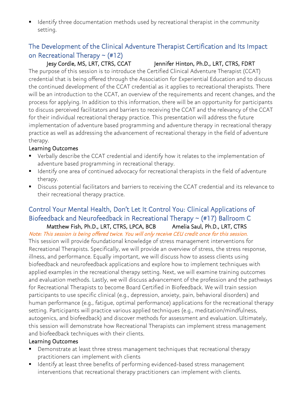■ Identify three documentation methods used by recreational therapist in the community setting.

#### The Development of the Clinical Adventure Therapist Certification and Its Impact on Recreational Therapy  $\sim$  (#12)

#### Jesy Cordle, MS, LRT, CTRS, CCAT Jennifer Hinton, Ph.D., LRT, CTRS, FDRT

The purpose of this session is to introduce the Certified Clinical Adventure Therapist (CCAT) credential that is being offered through the Association for Experiential Education and to discuss the continued development of the CCAT credential as it applies to recreational therapists. There will be an introduction to the CCAT, an overview of the requirements and recent changes, and the process for applying. In addition to this information, there will be an opportunity for participants to discuss perceived facilitators and barriers to receiving the CCAT and the relevancy of the CCAT for their individual recreational therapy practice. This presentation will address the future implementation of adventure based programming and adventure therapy in recreational therapy practice as well as addressing the advancement of recreational therapy in the field of adventure therapy.

#### Learning Outcomes

- Verbally describe the CCAT credential and identify how it relates to the implementation of adventure based programming in recreational therapy.
- Identify one area of continued advocacy for recreational therapists in the field of adventure therapy.
- Discuss potential facilitators and barriers to receiving the CCAT credential and its relevance to their recreational therapy practice.

#### Control Your Mental Health, Don't Let It Control You: Clinical Applications of Biofeedback and Neurofeedback in Recreational Therapy ~ (#17) Ballroom C Matthew Fish, Ph.D., LRT, CTRS, LPCA, BCB Amelia Saul, Ph.D., LRT, CTRS

Note: This session is being offered twice. You will only receive CEU credit once for this session.

This session will provide foundational knowledge of stress management interventions for Recreational Therapists. Specifically, we will provide an overview of stress, the stress response, illness, and performance. Equally important, we will discuss how to assess clients using biofeedback and neurofeedback applications and explore how to implement techniques with applied examples in the recreational therapy setting. Next, we will examine training outcomes and evaluation methods. Lastly, we will discuss advancement of the profession and the pathways for Recreational Therapists to become Board Certified in Biofeedback. We will train session participants to use specific clinical (e.g., depression, anxiety, pain, behavioral disorders) and human performance (e.g., fatigue, optimal performance) applications for the recreational therapy setting. Participants will practice various applied techniques (e.g., meditation/mindfulness, autogenics, and biofeedback) and discover methods for assessment and evaluation. Ultimately, this session will demonstrate how Recreational Therapists can implement stress management and biofeedback techniques with their clients.

- Demonstrate at least three stress management techniques that recreational therapy practitioners can implement with clients
- Identify at least three benefits of performing evidenced-based stress management interventions that recreational therapy practitioners can implement with clients.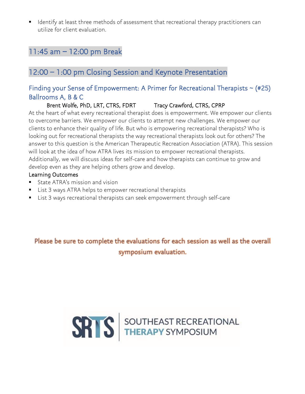■ Identify at least three methods of assessment that recreational therapy practitioners can utilize for client evaluation.

### 11:45 am – 12:00 pm Break

### 12:00 – 1:00 pm Closing Session and Keynote Presentation

#### Finding your Sense of Empowerment: A Primer for Recreational Therapists  $\sim$  (#25) Ballrooms A, B & C

Brent Wolfe, PhD, LRT, CTRS, FDRT Tracy Crawford, CTRS, CPRP

At the heart of what every recreational therapist does is empowerment. We empower our clients to overcome barriers. We empower our clients to attempt new challenges. We empower our clients to enhance their quality of life. But who is empowering recreational therapists? Who is looking out for recreational therapists the way recreational therapists look out for others? The answer to this question is the American Therapeutic Recreation Association (ATRA). This session will look at the idea of how ATRA lives its mission to empower recreational therapists. Additionally, we will discuss ideas for self-care and how therapists can continue to grow and develop even as they are helping others grow and develop.

#### Learning Outcomes

- State ATRA's mission and vision
- List 3 ways ATRA helps to empower recreational therapists
- List 3 ways recreational therapists can seek empowerment through self-care

Please be sure to complete the evaluations for each session as well as the overall symposium evaluation.

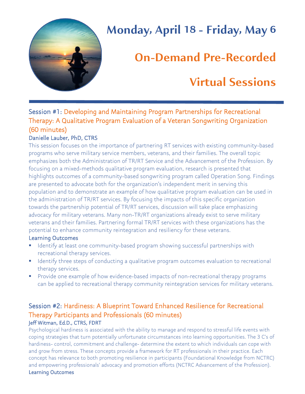

# **Monday, April 18 - Friday, May 6**

# **On-Demand Pre-Recorded**

## **Virtual Sessions**

### Session #1: Developing and Maintaining Program Partnerships for Recreational Therapy: A Qualitative Program Evaluation of a Veteran Songwriting Organization (60 minutes)

#### Danielle Lauber, PhD, CTRS

This session focuses on the importance of partnering RT services with existing community-based programs who serve military service members, veterans, and their families. The overall topic emphasizes both the Administration of TR/RT Service and the Advancement of the Profession. By focusing on a mixed-methods qualitative program evaluation, research is presented that highlights outcomes of a community-based songwriting program called Operation Song. Findings are presented to advocate both for the organization's independent merit in serving this population and to demonstrate an example of how qualitative program evaluation can be used in the administration of TR/RT services. By focusing the impacts of this specific organization towards the partnership potential of TR/RT services, discussion will take place emphasizing advocacy for military veterans. Many non-TR/RT organizations already exist to serve military veterans and their families. Partnering formal TR/RT services with these organizations has the potential to enhance community reintegration and resiliency for these veterans.

#### Learning Outcomes

- **■** Identify at least one community-based program showing successful partnerships with recreational therapy services.
- Identify three steps of conducting a qualitative program outcomes evaluation to recreational therapy services.
- Provide one example of how evidence-based impacts of non-recreational therapy programs can be applied to recreational therapy community reintegration services for military veterans.

#### Session #2: Hardiness: A Blueprint Toward Enhanced Resilience for Recreational Therapy Participants and Professionals (60 minutes) Jeff Witman, Ed.D., CTRS, FDRT

Psychological hardiness is associated with the ability to manage and respond to stressful life events with coping strategies that turn potentially unfortunate circumstances into learning opportunities. The 3 C's of hardiness- control, commitment and challenge- determine the extent to which individuals can cope with and grow from stress. These concepts provide a framework for RT professionals in their practice. Each concept has relevance to both promoting resilience in participants (Foundational Knowledge from NCTRC) and empowering professionals' advocacy and promotion efforts (NCTRC Advancement of the Profession). Learning Outcomes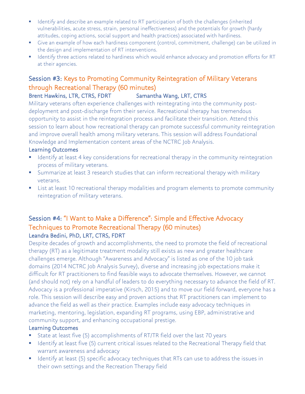- Identify and describe an example related to RT participation of both the challenges (inherited vulnerabilities, acute stress, strain, personal ineffectiveness) and the potentials for growth (hardy attitudes, coping actions, social support and health practices) associated with hardiness.
- Give an example of how each hardiness component (control, commitment, challenge) can be utilized in the design and implementation of RT interventions.
- **■** Identify three actions related to hardiness which would enhance advocacy and promotion efforts for RT at their agencies.

### Session #3: Keys to Promoting Community Reintegration of Military Veterans through Recreational Therapy (60 minutes)

#### Brent Hawkins, LTR, CTRS, FDRT Samantha Wang, LRT, CTRS

Military veterans often experience challenges with reintegrating into the community postdeployment and post-discharge from their service. Recreational therapy has tremendous opportunity to assist in the reintegration process and facilitate their transition. Attend this session to learn about how recreational therapy can promote successful community reintegration and improve overall health among military veterans. This session will address Foundational Knowledge and Implementation content areas of the NCTRC Job Analysis.

#### Learning Outcomes

- **E** Identify at least 4 key considerations for recreational therapy in the community reintegration process of military veterans.
- **E** Summarize at least 3 research studies that can inform recreational therapy with military veterans.
- List at least 10 recreational therapy modalities and program elements to promote community reintegration of military veterans.

#### Session #4: "I Want to Make a Difference": Simple and Effective Advocacy Techniques to Promote Recreational Therapy (60 minutes) Leandra Bedini, PhD, LRT, CTRS, FDRT

Despite decades of growth and accomplishments, the need to promote the field of recreational therapy (RT) as a legitimate treatment modality still exists as new and greater healthcare challenges emerge. Although "Awareness and Advocacy" is listed as one of the 10 job task domains (2014 NCTRC Job Analysis Survey), diverse and increasing job expectations make it difficult for RT practitioners to find feasible ways to advocate themselves. However, we cannot (and should not) rely on a handful of leaders to do everything necessary to advance the field of RT. Advocacy is a professional imperative (Kirsch, 2015) and to move our field forward, everyone has a role. This session will describe easy and proven actions that RT practitioners can implement to advance the field as well as their practice. Examples include easy advocacy techniques in marketing, mentoring, legislation, expanding RT programs, using EBP, administrative and community support, and enhancing occupational prestige.

- State at least five (5) accomplishments of RT/TR field over the last 70 years
- **EXP** Identify at least five (5) current critical issues related to the Recreational Therapy field that warrant awareness and advocacy
- Identify at least (5) specific advocacy techniques that RTs can use to address the issues in their own settings and the Recreation Therapy field